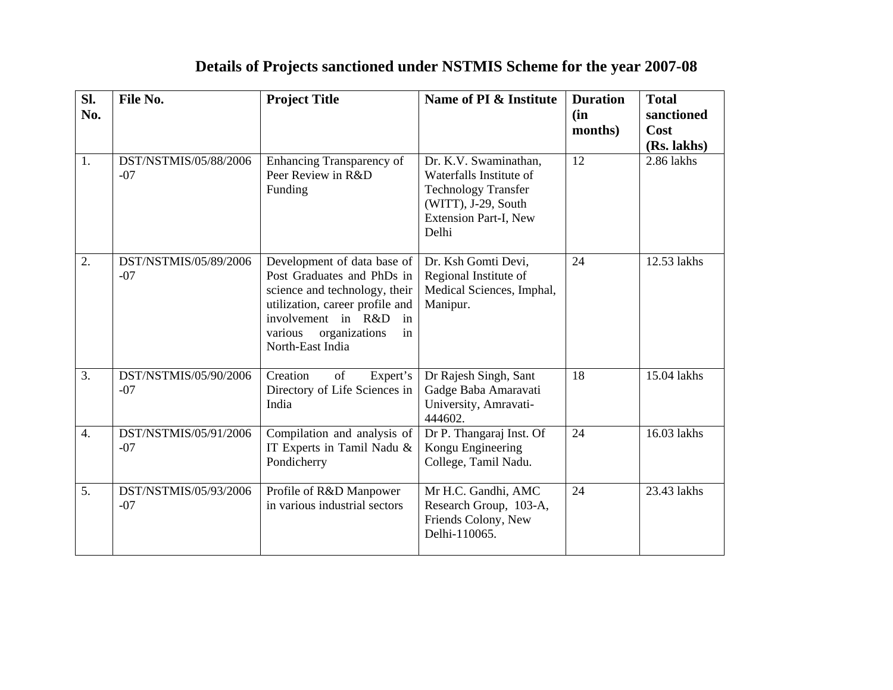## **Details of Projects sanctioned under NSTMIS Scheme for the year 2007-08**

| Sl.<br>No.       | File No.                       | <b>Project Title</b>                                                                                                                                                                                            | Name of PI & Institute                                                                                                                  | <b>Duration</b><br>(in<br>months) | <b>Total</b><br>sanctioned<br>Cost<br>(Rs. lakhs) |
|------------------|--------------------------------|-----------------------------------------------------------------------------------------------------------------------------------------------------------------------------------------------------------------|-----------------------------------------------------------------------------------------------------------------------------------------|-----------------------------------|---------------------------------------------------|
| 1.               | DST/NSTMIS/05/88/2006<br>$-07$ | Enhancing Transparency of<br>Peer Review in R&D<br>Funding                                                                                                                                                      | Dr. K.V. Swaminathan,<br>Waterfalls Institute of<br><b>Technology Transfer</b><br>(WITT), J-29, South<br>Extension Part-I, New<br>Delhi | 12                                | 2.86 lakhs                                        |
| 2.               | DST/NSTMIS/05/89/2006<br>$-07$ | Development of data base of<br>Post Graduates and PhDs in<br>science and technology, their<br>utilization, career profile and<br>involvement in R&D<br>in<br>organizations<br>various<br>in<br>North-East India | Dr. Ksh Gomti Devi,<br>Regional Institute of<br>Medical Sciences, Imphal,<br>Manipur.                                                   | 24                                | 12.53 lakhs                                       |
| $\overline{3}$ . | DST/NSTMIS/05/90/2006<br>$-07$ | Creation<br>of<br>Expert's<br>Directory of Life Sciences in<br>India                                                                                                                                            | Dr Rajesh Singh, Sant<br>Gadge Baba Amaravati<br>University, Amravati-<br>444602.                                                       | 18                                | 15.04 lakhs                                       |
| $\overline{4}$ . | DST/NSTMIS/05/91/2006<br>$-07$ | Compilation and analysis of<br>IT Experts in Tamil Nadu &<br>Pondicherry                                                                                                                                        | Dr P. Thangaraj Inst. Of<br>Kongu Engineering<br>College, Tamil Nadu.                                                                   | 24                                | 16.03 lakhs                                       |
| 5.               | DST/NSTMIS/05/93/2006<br>$-07$ | Profile of R&D Manpower<br>in various industrial sectors                                                                                                                                                        | Mr H.C. Gandhi, AMC<br>Research Group, 103-A,<br>Friends Colony, New<br>Delhi-110065.                                                   | 24                                | 23.43 lakhs                                       |